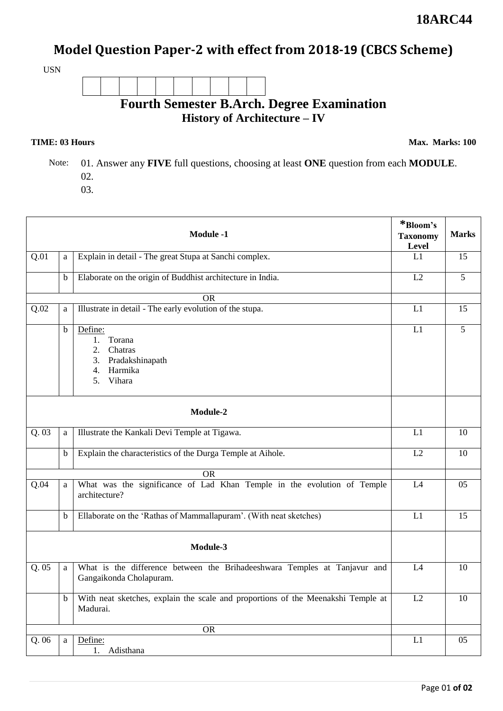## **Model Question Paper-2 with effect from 2018-19 (CBCS Scheme)**

USN

**Fourth Semester B.Arch. Degree Examination History of Architecture – IV** 

**TIME: 03 Hours** Max. Marks: 100

 Note: 01. Answer any **FIVE** full questions, choosing at least **ONE** question from each **MODULE**. 02.

03.

| <b>Module -1</b>  |              |                                                                                                      | *Bloom's<br><b>Taxonomy</b><br>Level | <b>Marks</b>    |  |  |
|-------------------|--------------|------------------------------------------------------------------------------------------------------|--------------------------------------|-----------------|--|--|
| Q.01              | a            | Explain in detail - The great Stupa at Sanchi complex.                                               | L1                                   | $\overline{15}$ |  |  |
|                   | b            | Elaborate on the origin of Buddhist architecture in India.                                           | L2                                   | $\overline{5}$  |  |  |
|                   |              | OR                                                                                                   |                                      |                 |  |  |
| $\overline{Q.02}$ | $\mathbf{a}$ | Illustrate in detail - The early evolution of the stupa.                                             | L1                                   | 15              |  |  |
|                   | b            | Define:<br>1.<br>Torana<br>2. Chatras<br>3. Pradakshinapath<br>4. Harmika<br>Vihara<br>5.            | L1                                   | 5               |  |  |
| Module-2          |              |                                                                                                      |                                      |                 |  |  |
| Q.03              | a            | Illustrate the Kankali Devi Temple at Tigawa.                                                        | L1                                   | 10              |  |  |
|                   | b            | Explain the characteristics of the Durga Temple at Aihole.                                           | $\overline{L2}$                      | 10              |  |  |
| <b>OR</b>         |              |                                                                                                      |                                      |                 |  |  |
| $\overline{Q.04}$ | $\mathbf{a}$ | What was the significance of Lad Khan Temple in the evolution of Temple<br>architecture?             | L4                                   | 05              |  |  |
|                   | $\mathbf b$  | Ellaborate on the 'Rathas of Mammallapuram'. (With neat sketches)                                    | L1                                   | 15              |  |  |
| Module-3          |              |                                                                                                      |                                      |                 |  |  |
| $Q.\overline{05}$ | $\rm{a}$     | What is the difference between the Brihadeeshwara Temples at Tanjavur and<br>Gangaikonda Cholapuram. | L4                                   | 10              |  |  |
|                   | $\mathbf b$  | With neat sketches, explain the scale and proportions of the Meenakshi Temple at<br>Madurai.         | L2                                   | 10              |  |  |
|                   |              | <b>OR</b>                                                                                            |                                      |                 |  |  |
| Q.06              | $\mathbf{a}$ | Define:<br>1. Adisthana                                                                              | L1                                   | 05              |  |  |